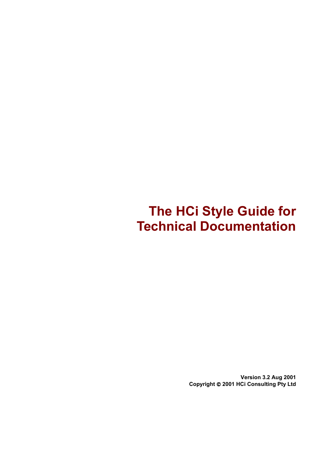# **The HCi Style Guide for Technical Documentation**

**Version 3.2 Aug 2001 Copyright 2001 HCi Consulting Pty Ltd**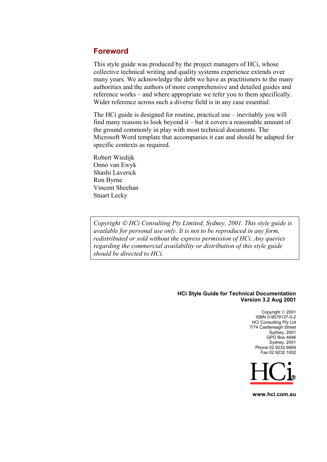### **Foreword**

This style guide was produced by the project managers of HCi, whose collective technical writing and quality systems experience extends over many years. We acknowledge the debt we have as practitioners to the many authorities and the authors of more comprehensive and detailed guides and reference works – and where appropriate we refer you to them specifically. Wider reference across such a diverse field is in any case essential.

The HCi guide is designed for routine, practical use – inevitably you will find many reasons to look beyond it – but it covers a reasonable amount of the ground commonly in play with most technical documents. The Microsoft Word template that accompanies it can and should be adapted for specific contexts as required.

Robert Wiedijk Onno van Ewyk Shashi Laverick Ron Byrne Vincent Sheehan Stuart Lecky

*Copyright HCi Consulting Pty Limited, Sydney, 2001. This style guide is available for personal use only. It is not to be reproduced in any form, redistributed or sold without the express permission of HCi. Any queries regarding the commercial availability or distribution of this style guide should be directed to HCi.* 

#### **HCi Style Guide for Technical Documentation Version 3.2 Aug 2001**

Copyright © 2001 ISBN 0-9579137-0-2 HCi Consulting Pty Ltd 7/74 Castlereagh Street Sydney, 2001 GPO Box 4846 Sydney, 2001 Phone 02 9232 6669 Fax 02 9232 1002



**www.hci.com.au**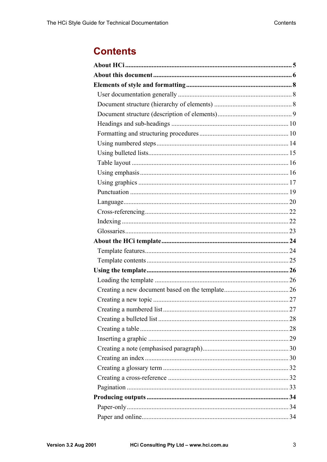# **Contents**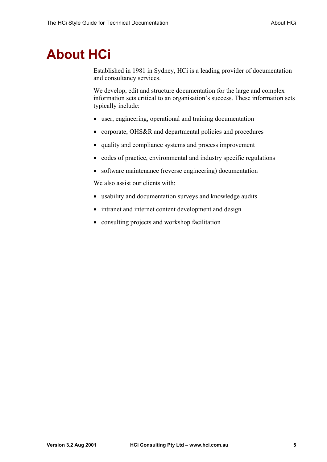# <span id="page-4-0"></span>**About HCi**

Established in 1981 in Sydney, HCi is a leading provider of documentation and consultancy services.

We develop, edit and structure documentation for the large and complex information sets critical to an organisation's success. These information sets typically include:

- user, engineering, operational and training documentation
- corporate, OHS&R and departmental policies and procedures
- quality and compliance systems and process improvement
- codes of practice, environmental and industry specific regulations
- software maintenance (reverse engineering) documentation

We also assist our clients with:

- usability and documentation surveys and knowledge audits
- intranet and internet content development and design
- consulting projects and workshop facilitation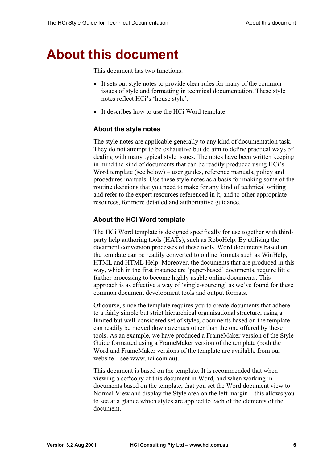# <span id="page-5-0"></span>**About this document**

This document has two functions:

- It sets out style notes to provide clear rules for many of the common issues of style and formatting in technical documentation. These style notes reflect HCi's 'house style'.
- It describes how to use the HCi Word template.

#### **About the style notes**

The style notes are applicable generally to any kind of documentation task. They do not attempt to be exhaustive but do aim to define practical ways of dealing with many typical style issues. The notes have been written keeping in mind the kind of documents that can be readily produced using HCi's Word template (see below) – user guides, reference manuals, policy and procedures manuals. Use these style notes as a basis for making some of the routine decisions that you need to make for any kind of technical writing and refer to the expert resources referenced in it, and to other appropriate resources, for more detailed and authoritative guidance.

#### **About the HCi Word template**

The HCi Word template is designed specifically for use together with thirdparty help authoring tools (HATs), such as RoboHelp. By utilising the document conversion processes of these tools, Word documents based on the template can be readily converted to online formats such as WinHelp, HTML and HTML Help. Moreover, the documents that are produced in this way, which in the first instance are 'paper-based' documents, require little further processing to become highly usable online documents. This approach is as effective a way of 'single-sourcing' as we've found for these common document development tools and output formats.

Of course, since the template requires you to create documents that adhere to a fairly simple but strict hierarchical organisational structure, using a limited but well-considered set of styles, documents based on the template can readily be moved down avenues other than the one offered by these tools. As an example, we have produced a FrameMaker version of the Style Guide formatted using a FrameMaker version of the template (both the Word and FrameMaker versions of the template are available from our website – see www.hci.com.au).

This document is based on the template. It is recommended that when viewing a softcopy of this document in Word, and when working in documents based on the template, that you set the Word document view to Normal View and display the Style area on the left margin – this allows you to see at a glance which styles are applied to each of the elements of the document.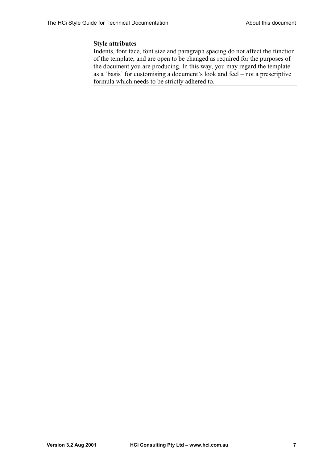#### **Style attributes**

Indents, font face, font size and paragraph spacing do not affect the function of the template, and are open to be changed as required for the purposes of the document you are producing. In this way, you may regard the template as a 'basis' for customising a document's look and feel – not a prescriptive formula which needs to be strictly adhered to.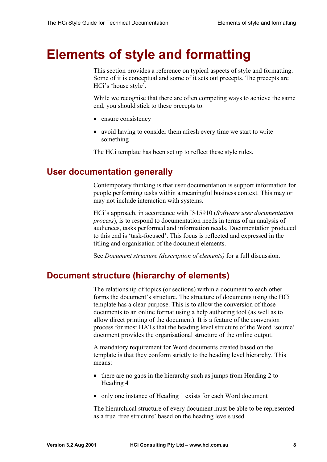# <span id="page-7-0"></span>**Elements of style and formatting**

This section provides a reference on typical aspects of style and formatting. Some of it is conceptual and some of it sets out precepts. The precepts are HCi's 'house style'.

While we recognise that there are often competing ways to achieve the same end, you should stick to these precepts to:

- ensure consistency
- avoid having to consider them afresh every time we start to write something

The HCi template has been set up to reflect these style rules.

## **User documentation generally**

Contemporary thinking is that user documentation is support information for people performing tasks within a meaningful business context. This may or may not include interaction with systems.

HCi's approach, in accordance with IS15910 (*Software user documentation process*), is to respond to documentation needs in terms of an analysis of audiences, tasks performed and information needs. Documentation produced to this end is 'task-focused'. This focus is reflected and expressed in the titling and organisation of the document elements.

See *[Document structure \(description of elements\)](#page-8-0)* for a full discussion.

# **Document structure (hierarchy of elements)**

The relationship of topics (or sections) within a document to each other forms the document's structure. The structure of documents using the HCi template has a clear purpose. This is to allow the conversion of those documents to an online format using a help authoring tool (as well as to allow direct printing of the document). It is a feature of the conversion process for most HATs that the heading level structure of the Word 'source' document provides the organisational structure of the online output.

A mandatory requirement for Word documents created based on the template is that they conform strictly to the heading level hierarchy. This means:

- there are no gaps in the hierarchy such as jumps from Heading 2 to Heading 4
- only one instance of Heading 1 exists for each Word document

The hierarchical structure of every document must be able to be represented as a true 'tree structure' based on the heading levels used.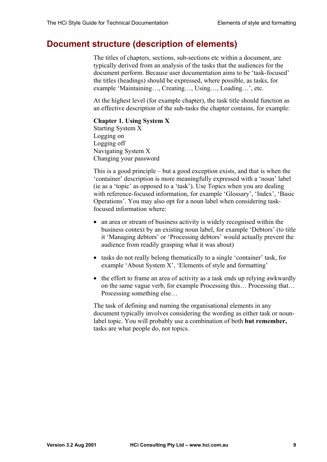# <span id="page-8-0"></span>**Document structure (description of elements)**

The titles of chapters, sections, sub-sections etc within a document, are typically derived from an analysis of the tasks that the audiences for the document perform. Because user documentation aims to be 'task-focused' the titles (headings) should be expressed, where possible, as tasks, for example 'Maintaining…, Creating…, Using…, Loading…', etc.

At the highest level (for example chapter), the task title should function as an effective description of the sub-tasks the chapter contains, for example:

#### **Chapter 1. Using System X**

Starting System X Logging on Logging off Navigating System X Changing your password

This is a good principle – but a good exception exists, and that is when the 'container' description is more meaningfully expressed with a 'noun' label (ie as a 'topic' as opposed to a 'task'). Use Topics when you are dealing with reference-focused information, for example 'Glossary', 'Index', 'Basic Operations'. You may also opt for a noun label when considering taskfocused information where:

- an area or stream of business activity is widely recognised within the business context by an existing noun label, for example 'Debtors' (to title it 'Managing debtors' or 'Processing debtors' would actually prevent the audience from readily grasping what it was about)
- tasks do not really belong thematically to a single 'container' task, for example 'About System X', 'Elements of style and formatting'
- the effort to frame an area of activity as a task ends up relying awkwardly on the same vague verb, for example Processing this… Processing that… Processing something else…

The task of defining and naming the organisational elements in any document typically involves considering the wording as either task or nounlabel topic. You will probably use a combination of both **but remember,**  tasks are what people do, not topics.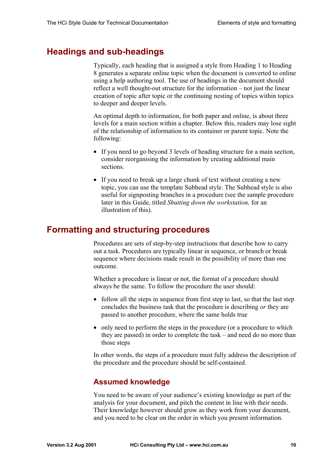# <span id="page-9-0"></span>**Headings and sub-headings**

Typically, each heading that is assigned a style from Heading 1 to Heading 8 generates a separate online topic when the document is converted to online using a help authoring tool. The use of headings in the document should reflect a well thought-out structure for the information – not just the linear creation of topic after topic or the continuing nesting of topics within topics to deeper and deeper levels.

An optimal depth to information, for both paper and online, is about three levels for a main section within a chapter. Below this, readers may lose sight of the relationship of information to its container or parent topic. Note the following:

- If you need to go beyond 3 levels of heading structure for a main section, consider reorganising the information by creating additional main sections.
- If you need to break up a large chunk of text without creating a new topic, you can use the template Subhead style. The Subhead style is also useful for signposting branches in a procedure (see the sample procedure later in this Guide, titled *Shutting down the workstation,* for an illustration of this).

# **Formatting and structuring procedures**

Procedures are sets of step-by-step instructions that describe how to carry out a task. Procedures are typically linear in sequence, or branch or break sequence where decisions made result in the possibility of more than one outcome.

Whether a procedure is linear or not, the format of a procedure should always be the same. To follow the procedure the user should:

- follow all the steps in sequence from first step to last, so that the last step concludes the business task that the procedure is describing *or* they are passed to another procedure, where the same holds true
- only need to perform the steps in the procedure (or a procedure to which they are passed) in order to complete the task – and need do no more than those steps

In other words, the steps of a procedure must fully address the description of the procedure and the procedure should be self-contained.

## **Assumed knowledge**

You need to be aware of your audience's existing knowledge as part of the analysis for your document, and pitch the content in line with their needs. Their knowledge however should grow as they work from your document, and you need to be clear on the order in which you present information.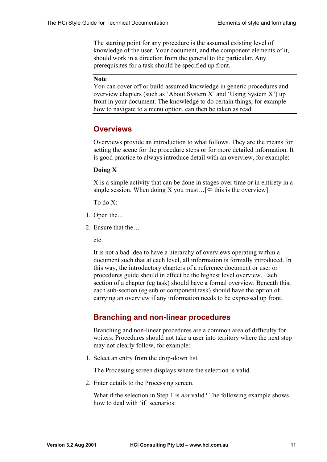The starting point for any procedure is the assumed existing level of knowledge of the user. Your document, and the component elements of it, should work in a direction from the general to the particular. Any prerequisites for a task should be specified up front.

#### **Note**

You can cover off or build assumed knowledge in generic procedures and overview chapters (such as 'About System X' and 'Using System X') up front in your document. The knowledge to do certain things, for example how to navigate to a menu option, can then be taken as read.

#### **Overviews**

Overviews provide an introduction to what follows. They are the means for setting the scene for the procedure steps or for more detailed information. It is good practice to always introduce detail with an overview, for example:

#### **Doing X**

X is a simple activity that can be done in stages over time or in entirety in a single session. When doing X you must...  $\varphi$  this is the overview]

To do X:

- 1. Open the…
- 2. Ensure that the

etc

It is not a bad idea to have a hierarchy of overviews operating within a document such that at each level, all information is formally introduced. In this way, the introductory chapters of a reference document or user or procedures guide should in effect be the highest level overview. Each section of a chapter (eg task) should have a formal overview. Beneath this, each sub-section (eg sub or component task) should have the option of carrying an overview if any information needs to be expressed up front.

#### **Branching and non-linear procedures**

Branching and non-linear procedures are a common area of difficulty for writers. Procedures should not take a user into territory where the next step may not clearly follow, for example:

1. Select an entry from the drop-down list.

The Processing screen displays where the selection is valid.

2. Enter details to the Processing screen.

What if the selection in Step 1 is *not* valid? The following example shows how to deal with 'if' scenarios: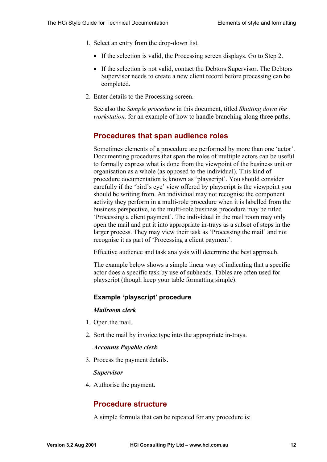- 1. Select an entry from the drop-down list.
	- If the selection is valid, the Processing screen displays. Go to Step 2.
	- If the selection is not valid, contact the Debtors Supervisor. The Debtors Supervisor needs to create a new client record before processing can be completed.
- 2. Enter details to the Processing screen.

See also the *[Sample procedure](#page-36-0)* in this document, titled *[Shutting down the](#page-36-0)  [workstation,](#page-36-0)* for an example of how to handle branching along three paths.

## **Procedures that span audience roles**

Sometimes elements of a procedure are performed by more than one 'actor'. Documenting procedures that span the roles of multiple actors can be useful to formally express what is done from the viewpoint of the business unit or organisation as a whole (as opposed to the individual). This kind of procedure documentation is known as 'playscript'. You should consider carefully if the 'bird's eye' view offered by playscript is the viewpoint you should be writing from. An individual may not recognise the component activity they perform in a multi-role procedure when it is labelled from the business perspective, ie the multi-role business procedure may be titled 'Processing a client payment'. The individual in the mail room may only open the mail and put it into appropriate in-trays as a subset of steps in the larger process. They may view their task as 'Processing the mail' and not recognise it as part of 'Processing a client payment'.

Effective audience and task analysis will determine the best approach.

The example below shows a simple linear way of indicating that a specific actor does a specific task by use of subheads. Tables are often used for playscript (though keep your table formatting simple).

### **Example 'playscript' procedure**

#### *Mailroom clerk*

- 1. Open the mail.
- 2. Sort the mail by invoice type into the appropriate in-trays.

#### *Accounts Payable clerk*

3. Process the payment details.

#### *Supervisor*

4. Authorise the payment.

## **Procedure structure**

A simple formula that can be repeated for any procedure is: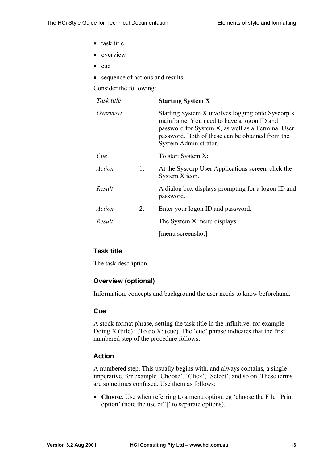- task title
- overview
- cue
- sequence of actions and results

Consider the following:

| Task title    |    | <b>Starting System X</b>                                                                                                                                                                                                          |
|---------------|----|-----------------------------------------------------------------------------------------------------------------------------------------------------------------------------------------------------------------------------------|
| Overview      |    | Starting System X involves logging onto Syscorp's<br>mainframe. You need to have a logon ID and<br>password for System X, as well as a Terminal User<br>password. Both of these can be obtained from the<br>System Administrator. |
| Cue           |    | To start System X:                                                                                                                                                                                                                |
| Action        | 1. | At the Syscorp User Applications screen, click the<br>System X icon.                                                                                                                                                              |
| Result        |    | A dialog box displays prompting for a logon ID and<br>password.                                                                                                                                                                   |
| <b>Action</b> | 2. | Enter your logon ID and password.                                                                                                                                                                                                 |
| Result        |    | The System X menu displays:                                                                                                                                                                                                       |
|               |    | [menu screenshot]                                                                                                                                                                                                                 |

#### **Task title**

The task description.

### **Overview (optional)**

Information, concepts and background the user needs to know beforehand.

#### **Cue**

A stock format phrase, setting the task title in the infinitive, for example Doing  $X$  (title)... To do  $X$ : (cue). The 'cue' phrase indicates that the first numbered step of the procedure follows.

### **Action**

A numbered step. This usually begins with, and always contains, a single imperative, for example 'Choose', 'Click', 'Select', and so on. These terms are sometimes confused. Use them as follows:

• **Choose**. Use when referring to a menu option, eg 'choose the File | Print option' (note the use of '|' to separate options).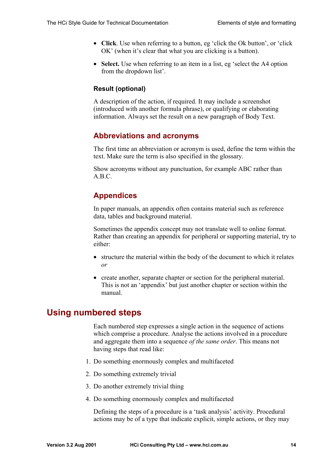- <span id="page-13-0"></span>• **Click**. Use when referring to a button, eg 'click the Ok button', or 'click OK' (when it's clear that what you are clicking is a button).
- **Select.** Use when referring to an item in a list, egerect the A4 option from the dropdown list'.

#### **Result (optional)**

A description of the action, if required. It may include a screenshot (introduced with another formula phrase), or qualifying or elaborating information. Always set the result on a new paragraph of Body Text.

## **Abbreviations and acronyms**

The first time an abbreviation or acronym is used, define the term within the text. Make sure the term is also specified in the glossary.

Show acronyms without any punctuation, for example ABC rather than A.B.C.

## **Appendices**

In paper manuals, an appendix often contains material such as reference data, tables and background material.

Sometimes the appendix concept may not translate well to online format. Rather than creating an appendix for peripheral or supporting material, try to either:

- structure the material within the body of the document to which it relates *or*
- create another, separate chapter or section for the peripheral material. This is not an 'appendix' but just another chapter or section within the manual.

# **Using numbered steps**

Each numbered step expresses a single action in the sequence of actions which comprise a procedure. Analyse the actions involved in a procedure and aggregate them into a sequence *of the same order*. This means not having steps that read like:

- 1. Do something enormously complex and multifaceted
- 2. Do something extremely trivial
- 3. Do another extremely trivial thing
- 4. Do something enormously complex and multifaceted

Defining the steps of a procedure is a 'task analysis' activity. Procedural actions may be of a type that indicate explicit, simple actions, or they may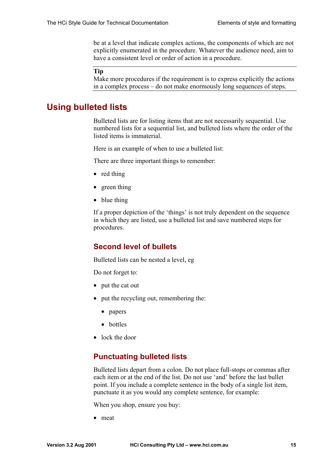<span id="page-14-0"></span>be at a level that indicate complex actions, the components of which are not explicitly enumerated in the procedure. Whatever the audience need, aim to have a consistent level or order of action in a procedure.

#### **Tip**

Make more procedures if the requirement is to express explicitly the actions in a complex process – do not make enormously long sequences of steps.

## **Using bulleted lists**

Bulleted lists are for listing items that are not necessarily sequential. Use numbered lists for a sequential list, and bulleted lists where the order of the listed items is immaterial.

Here is an example of when to use a bulleted list:

There are three important things to remember:

- red thing
- green thing
- blue thing

If a proper depiction of the 'things' is not truly dependent on the sequence in which they are listed, use a bulleted list and save numbered steps for procedures.

### **Second level of bullets**

Bulleted lists can be nested a level, eg

Do not forget to:

- put the cat out
- put the recycling out, remembering the:
	- papers
	- bottles
- lock the door

### **Punctuating bulleted lists**

Bulleted lists depart from a colon. Do not place full-stops or commas after each item or at the end of the list. Do not use 'and' before the last bullet point. If you include a complete sentence in the body of a single list item, punctuate it as you would any complete sentence, for example:

When you shop, ensure you buy:

• meat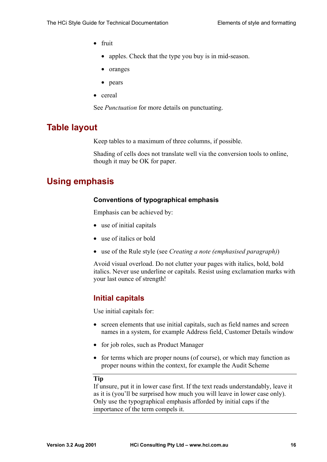- <span id="page-15-0"></span>• fruit
	- apples. Check that the type you buy is in mid-season.
	- oranges
	- pears
- cereal

See *[Punctuation](#page-18-0)* for more details on punctuating.

# **Table layout**

Keep tables to a maximum of three columns, if possible.

Shading of cells does not translate well via the conversion tools to online, though it may be OK for paper.

# **Using emphasis**

#### **Conventions of typographical emphasis**

Emphasis can be achieved by:

- use of initial capitals
- use of italics or bold
- use of the Rule style (see *[Creating a note \(emphasised paragraph\)](#page-29-0)*)

Avoid visual overload. Do not clutter your pages with italics, bold, bold italics. Never use underline or capitals. Resist using exclamation marks with your last ounce of strength!

## **Initial capitals**

Use initial capitals for:

- screen elements that use initial capitals, such as field names and screen names in a system, for example Address field, Customer Details window
- for job roles, such as Product Manager
- for terms which are proper nouns (of course), or which may function as proper nouns within the context, for example the Audit Scheme

#### **Tip**

If unsure, put it in lower case first. If the text reads understandably, leave it as it is (you'll be surprised how much you will leave in lower case only). Only use the typographical emphasis afforded by initial caps if the importance of the term compels it.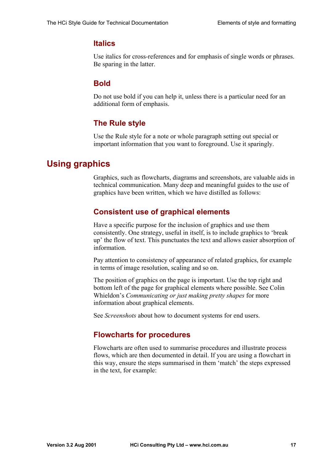### <span id="page-16-0"></span>**Italics**

Use italics for cross-references and for emphasis of single words or phrases. Be sparing in the latter.

## **Bold**

Do not use bold if you can help it, unless there is a particular need for an additional form of emphasis.

## **The Rule style**

Use the Rule style for a note or whole paragraph setting out special or important information that you want to foreground. Use it sparingly.

# **Using graphics**

Graphics, such as flowcharts, diagrams and screenshots, are valuable aids in technical communication. Many deep and meaningful guides to the use of graphics have been written, which we have distilled as follows:

## **Consistent use of graphical elements**

Have a specific purpose for the inclusion of graphics and use them consistently. One strategy, useful in itself, is to include graphics to 'break up' the flow of text. This punctuates the text and allows easier absorption of information.

Pay attention to consistency of appearance of related graphics, for example in terms of image resolution, scaling and so on.

The position of graphics on the page is important. Use the top right and bottom left of the page for graphical elements where possible. See Colin Whieldon's *Communicating or just making pretty shapes* for more information about graphical elements.

See *[Screenshots](#page-17-0)* about how to document systems for end users.

## **Flowcharts for procedures**

Flowcharts are often used to summarise procedures and illustrate process flows, which are then documented in detail. If you are using a flowchart in this way, ensure the steps summarised in them 'match' the steps expressed in the text, for example: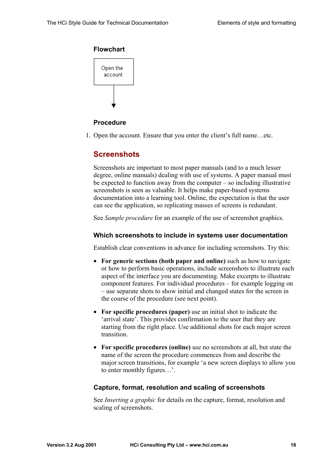#### <span id="page-17-0"></span>**Flowchart**



#### **Procedure**

1. Open the account. Ensure that you enter the client's full name…etc.

## **Screenshots**

Screenshots are important to most paper manuals (and to a much lesser degree, online manuals) dealing with use of systems. A paper manual must be expected to function away from the computer – so including illustrative screenshots is seen as valuable. It helps make paper-based systems documentation into a learning tool. Online, the expectation is that the user can see the application, so replicating masses of screens is redundant.

See *[Sample procedure](#page-36-0)* for an example of the use of screenshot graphics.

#### **Which screenshots to include in systems user documentation**

Establish clear conventions in advance for including screenshots. Try this:

- **For generic sections (both paper and online)** such as how to navigate or how to perform basic operations, include screenshots to illustrate each aspect of the interface you are documenting. Make excerpts to illustrate component features. For individual procedures – for example logging on – use separate shots to show initial and changed states for the screen in the course of the procedure (see next point).
- **For specific procedures (paper)** use an initial shot to indicate the 'arrival state'. This provides confirmation to the user that they are starting from the right place. Use additional shots for each major screen transition.
- **For specific procedures (online)** use no screenshots at all, but state the name of the screen the procedure commences from and describe the major screen transitions, for example 'a new screen displays to allow you to enter monthly figures…'.

#### **Capture, format, resolution and scaling of screenshots**

See *[Inserting a graphic](#page-28-0)* for details on the capture, format, resolution and scaling of screenshots.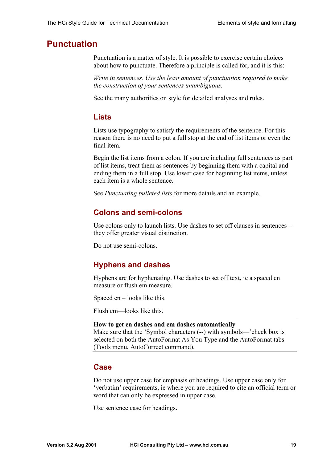# <span id="page-18-0"></span>**Punctuation**

Punctuation is a matter of style. It is possible to exercise certain choices about how to punctuate. Therefore a principle is called for, and it is this:

*Write in sentences. Use the least amount of punctuation required to make the construction of your sentences unambiguous.* 

See the many authorities on style for detailed analyses and rules.

## **Lists**

Lists use typography to satisfy the requirements of the sentence. For this reason there is no need to put a full stop at the end of list items or even the final item.

Begin the list items from a colon. If you are including full sentences as part of list items, treat them as sentences by beginning them with a capital and ending them in a full stop. Use lower case for beginning list items, unless each item is a whole sentence.

See *[Punctuating bulleted lists](#page-14-0)* for more details and an example.

## **Colons and semi-colons**

Use colons only to launch lists. Use dashes to set off clauses in sentences – they offer greater visual distinction.

Do not use semi-colons.

## **Hyphens and dashes**

Hyphens are for hyphenating. Use dashes to set off text, ie a spaced en measure or flush em measure.

Spaced en – looks like this.

Flush em—looks like this.

#### **How to get en dashes and em dashes automatically**

Make sure that the 'Symbol characters (--) with symbols—'check box is selected on both the AutoFormat As You Type and the AutoFormat tabs (Tools menu, AutoCorrect command).

## **Case**

Do not use upper case for emphasis or headings. Use upper case only for 'verbatim' requirements, ie where you are required to cite an official term or word that can only be expressed in upper case.

Use sentence case for headings.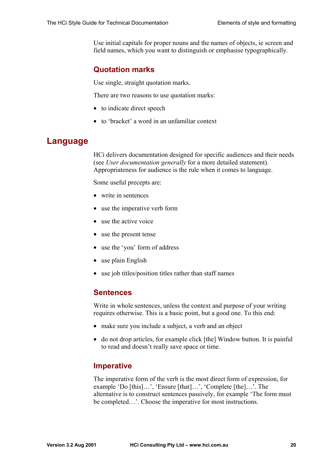<span id="page-19-0"></span>Use initial capitals for proper nouns and the names of objects, ie screen and field names, which you want to distinguish or emphasise typographically.

## **Quotation marks**

Use single, straight quotation marks.

There are two reasons to use quotation marks:

- to indicate direct speech
- to 'bracket' a word in an unfamiliar context

# **Language**

HCi delivers documentation designed for specific audiences and their needs (see *[User documentation generally](#page-7-0)* for a more detailed statement). Appropriateness for audience is the rule when it comes to language.

Some useful precepts are:

- write in sentences
- use the imperative verb form
- use the active voice
- use the present tense
- use the 'you' form of address
- use plain English
- use job titles/position titles rather than staff names

### **Sentences**

Write in whole sentences, unless the context and purpose of your writing requires otherwise. This is a basic point, but a good one. To this end:

- make sure you include a subject, a verb and an object
- do not drop articles, for example click [the] Window button. It is painful to read and doesn't really save space or time.

## **Imperative**

The imperative form of the verb is the most direct form of expression, for example 'Do [this]…', 'Ensure [that]…', 'Complete [the]…'. The alternative is to construct sentences passively, for example 'The form must be completed…'. Choose the imperative for most instructions.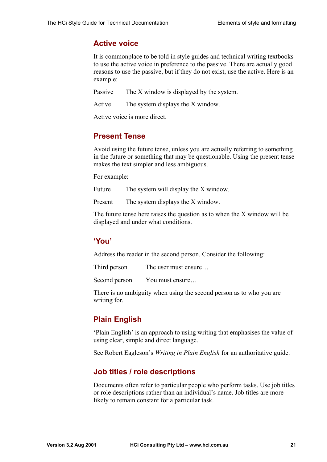## **Active voice**

It is commonplace to be told in style guides and technical writing textbooks to use the active voice in preference to the passive. There are actually good reasons to use the passive, but if they do not exist, use the active. Here is an example:

Passive The X window is displayed by the system.

Active The system displays the X window.

Active voice is more direct.

## **Present Tense**

Avoid using the future tense, unless you are actually referring to something in the future or something that may be questionable. Using the present tense makes the text simpler and less ambiguous.

For example:

Future The system will display the X window.

Present The system displays the X window.

The future tense here raises the question as to when the X window will be displayed and under what conditions.

## **'You'**

Address the reader in the second person. Consider the following:

Third person The user must ensure...

Second person You must ensure...

There is no ambiguity when using the second person as to who you are writing for.

## **Plain English**

'Plain English' is an approach to using writing that emphasises the value of using clear, simple and direct language.

See Robert Eagleson's *Writing in Plain English* for an authoritative guide.

## **Job titles / role descriptions**

Documents often refer to particular people who perform tasks. Use job titles or role descriptions rather than an individual's name. Job titles are more likely to remain constant for a particular task.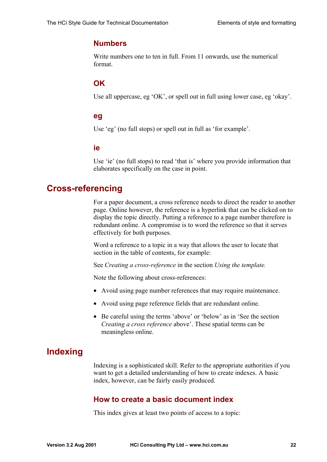## <span id="page-21-0"></span>**Numbers**

Write numbers one to ten in full. From 11 onwards, use the numerical format.

## **OK**

Use all uppercase, eg 'OK', or spell out in full using lower case, eg 'okay'.

#### **eg**

Use 'eg' (no full stops) or spell out in full as 'for example'.

#### **ie**

Use 'ie' (no full stops) to read 'that is' where you provide information that elaborates specifically on the case in point.

## **Cross-referencing**

For a paper document, a cross reference needs to direct the reader to another page. Online however, the reference is a hyperlink that can be clicked on to display the topic directly. Putting a reference to a page number therefore is redundant online. A compromise is to word the reference so that it serves effectively for both purposes.

Word a reference to a topic in a way that allows the user to locate that section in the table of contents, for example:

See *[Creating a cross-reference](#page-31-0)* in the section *[Using the template.](#page-25-0)*

Note the following about cross-references:

- Avoid using page number references that may require maintenance.
- Avoid using page reference fields that are redundant online.
- Be careful using the terms 'above' or 'below' as in 'See the section *Creating a cross reference* above'. These spatial terms can be meaningless online.

# **Indexing**

Indexing is a sophisticated skill. Refer to the appropriate authorities if you want to get a detailed understanding of how to create indexes. A basic index, however, can be fairly easily produced.

### **How to create a basic document index**

This index gives at least two points of access to a topic: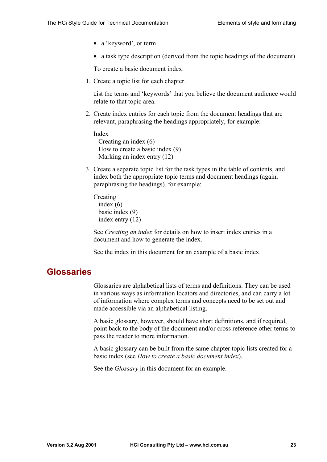- <span id="page-22-0"></span>• a 'keyword', or term
- a task type description (derived from the topic headings of the document)

To create a basic document index:

1. Create a topic list for each chapter.

List the terms and 'keywords' that you believe the document audience would relate to that topic area.

2. Create index entries for each topic from the document headings that are relevant, paraphrasing the headings appropriately, for example:

Index Creating an index (6) How to create a basic index (9) Marking an index entry (12)

3. Create a separate topic list for the task types in the table of contents, and index both the appropriate topic terms and document headings (again, paraphrasing the headings), for example:

Creating index (6) basic index (9) index entry (12)

See *[Creating an index](#page-29-0)* for details on how to insert index entries in a document and how to generate the index.

See the index in this document for an example of a basic index.

## **Glossaries**

Glossaries are alphabetical lists of terms and definitions. They can be used in various ways as information locators and directories, and can carry a lot of information where complex terms and concepts need to be set out and made accessible via an alphabetical listing.

A basic glossary, however, should have short definitions, and if required, point back to the body of the document and/or cross reference other terms to pass the reader to more information.

A basic glossary can be built from the same chapter topic lists created for a basic index (see *[How to create a basic document index](#page-21-0)*).

See the *[Glossary](#page-38-0)* in this document for an example.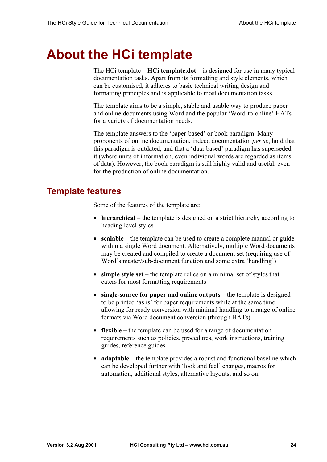# <span id="page-23-0"></span>**About the HCi template**

The HCi template – **HCi template.dot** – is designed for use in many typical documentation tasks. Apart from its formatting and style elements, which can be customised, it adheres to basic technical writing design and formatting principles and is applicable to most documentation tasks.

The template aims to be a simple, stable and usable way to produce paper and online documents using Word and the popular 'Word-to-online' HATs for a variety of documentation needs.

The template answers to the 'paper-based' or book paradigm. Many proponents of online documentation, indeed documentation *per se*, hold that this paradigm is outdated, and that a 'data-based' paradigm has superseded it (where units of information, even individual words are regarded as items of data). However, the book paradigm is still highly valid and useful, even for the production of online documentation.

# **Template features**

Some of the features of the template are:

- **hierarchical** the template is designed on a strict hierarchy according to heading level styles
- **scalable** the template can be used to create a complete manual or guide within a single Word document. Alternatively, multiple Word documents may be created and compiled to create a document set (requiring use of Word's master/sub-document function and some extra 'handling')
- **simple style set** the template relies on a minimal set of styles that caters for most formatting requirements
- **single-source for paper and online outputs** the template is designed to be printed 'as is' for paper requirements while at the same time allowing for ready conversion with minimal handling to a range of online formats via Word document conversion (through HATs)
- **flexible** the template can be used for a range of documentation requirements such as policies, procedures, work instructions, training guides, reference guides
- **adaptable** the template provides a robust and functional baseline which can be developed further with 'look and feel' changes, macros for automation, additional styles, alternative layouts, and so on.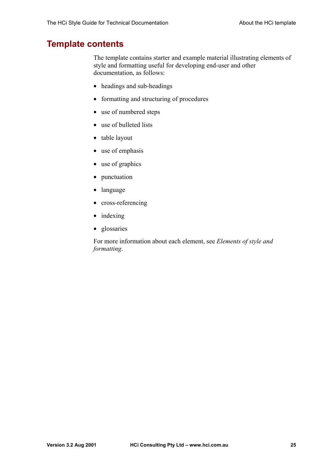## <span id="page-24-0"></span>**Template contents**

The template contains starter and example material illustrating elements of style and formatting useful for developing end-user and other documentation, as follows:

- headings and sub-headings
- formatting and structuring of procedures
- use of numbered steps
- use of bulleted lists
- table layout
- use of emphasis
- use of graphics
- punctuation
- language
- cross-referencing
- indexing
- glossaries

For more information about each element, see *[Elements of style and](#page-7-0)  [formatting](#page-7-0)*.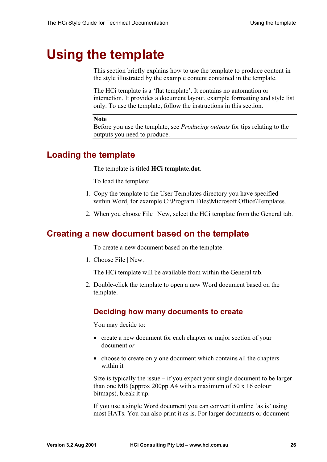# <span id="page-25-0"></span>**Using the template**

This section briefly explains how to use the template to produce content in the style illustrated by the example content contained in the template.

The HCi template is a 'flat template'. It contains no automation or interaction. It provides a document layout, example formatting and style list only. To use the template, follow the instructions in this section.

#### **Note**

Before you use the template, see *[Producing outputs](#page-33-0)* for tips relating to the outputs you need to produce.

## **Loading the template**

The template is titled **HCi template.dot**.

To load the template:

- 1. Copy the template to the User Templates directory you have specified within Word, for example C:\Program Files\Microsoft Office\Templates.
- 2. When you choose File | New, select the HCi template from the General tab.

## **Creating a new document based on the template**

To create a new document based on the template:

1. Choose File | New.

The HCi template will be available from within the General tab.

2. Double-click the template to open a new Word document based on the template.

### **Deciding how many documents to create**

You may decide to:

- create a new document for each chapter or major section of your document *or*
- choose to create only one document which contains all the chapters within it

Size is typically the issue  $-$  if you expect your single document to be larger than one MB (approx 200pp A4 with a maximum of 50 x 16 colour bitmaps), break it up.

If you use a single Word document you can convert it online 'as is' using most HATs. You can also print it as is. For larger documents or document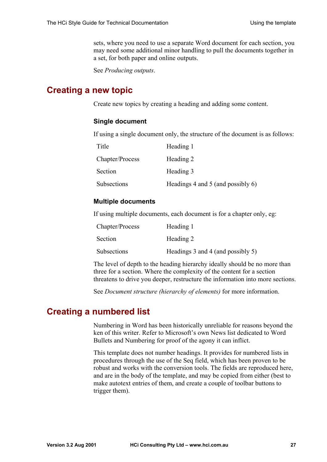sets, where you need to use a separate Word document for each section, you may need some additional minor handling to pull the documents together in a set, for both paper and online outputs.

See *[Producing outputs](#page-33-0)*.

## <span id="page-26-0"></span>**Creating a new topic**

Create new topics by creating a heading and adding some content.

#### **Single document**

If using a single document only, the structure of the document is as follows:

| Title           | Heading 1                            |
|-----------------|--------------------------------------|
| Chapter/Process | Heading 2                            |
| Section         | Heading 3                            |
| Subsections     | Headings 4 and 5 (and possibly $6$ ) |

#### **Multiple documents**

If using multiple documents, each document is for a chapter only, eg:

| Chapter/Process    | Heading 1                         |
|--------------------|-----------------------------------|
| Section            | Heading 2                         |
| <b>Subsections</b> | Headings 3 and 4 (and possibly 5) |

The level of depth to the heading hierarchy ideally should be no more than three for a section. Where the complexity of the content for a section threatens to drive you deeper, restructure the information into more sections.

See *[Document structure \(hierarchy of elements\)](#page-7-0)* for more information.

# **Creating a numbered list**

Numbering in Word has been historically unreliable for reasons beyond the ken of this writer. Refer to Microsoft's own News list dedicated to Word Bullets and Numbering for proof of the agony it can inflict.

This template does not number headings. It provides for numbered lists in procedures through the use of the Seq field, which has been proven to be robust and works with the conversion tools. The fields are reproduced here, and are in the body of the template, and may be copied from either (best to make autotext entries of them, and create a couple of toolbar buttons to trigger them).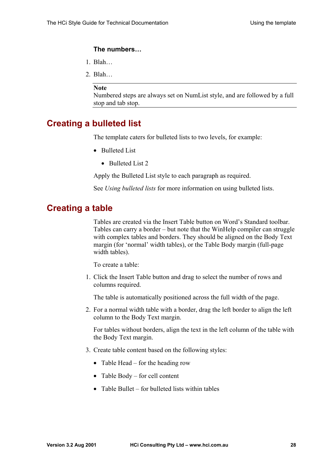#### <span id="page-27-0"></span>**The numbers…**

- 1. Blah…
- 2. Blah…

#### **Note**

Numbered steps are always set on NumList style, and are followed by a full stop and tab stop.

# **Creating a bulleted list**

The template caters for bulleted lists to two levels, for example:

- Bulleted List
	- Bulleted List 2

Apply the Bulleted List style to each paragraph as required.

See *[Using bulleted lists](#page-14-0)* for more information on using bulleted lists.

## **Creating a table**

Tables are created via the Insert Table button on Word's Standard toolbar. Tables can carry a border – but note that the WinHelp compiler can struggle with complex tables and borders. They should be aligned on the Body Text margin (for 'normal' width tables), or the Table Body margin (full-page width tables).

To create a table:

1. Click the Insert Table button and drag to select the number of rows and columns required.

The table is automatically positioned across the full width of the page.

2. For a normal width table with a border, drag the left border to align the left column to the Body Text margin.

For tables without borders, align the text in the left column of the table with the Body Text margin.

- 3. Create table content based on the following styles:
	- Table Head for the heading row
	- Table Body for cell content
	- Table Bullet for bulleted lists within tables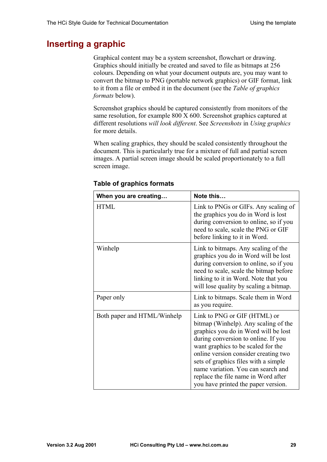# <span id="page-28-0"></span>**Inserting a graphic**

Graphical content may be a system screenshot, flowchart or drawing. Graphics should initially be created and saved to file as bitmaps at 256 colours. Depending on what your document outputs are, you may want to convert the bitmap to PNG (portable network graphics) or GIF format, link to it from a file or embed it in the document (see the *Table of graphics formats* below).

Screenshot graphics should be captured consistently from monitors of the same resolution, for example 800 X 600. Screenshot graphics captured at different resolutions *will look different*. See *[Screenshots](#page-17-0)* in *[Using graphics](#page-16-0)* for more details.

When scaling graphics, they should be scaled consistently throughout the document. This is particularly true for a mixture of full and partial screen images. A partial screen image should be scaled proportionately to a full screen image.

| When you are creating       | Note this                                                                                                                                                                                                                                                                                                                                                                                     |
|-----------------------------|-----------------------------------------------------------------------------------------------------------------------------------------------------------------------------------------------------------------------------------------------------------------------------------------------------------------------------------------------------------------------------------------------|
| <b>HTML</b>                 | Link to PNGs or GIFs. Any scaling of<br>the graphics you do in Word is lost<br>during conversion to online, so if you<br>need to scale, scale the PNG or GIF<br>before linking to it in Word.                                                                                                                                                                                                 |
| Winhelp                     | Link to bitmaps. Any scaling of the<br>graphics you do in Word will be lost<br>during conversion to online, so if you<br>need to scale, scale the bitmap before<br>linking to it in Word. Note that you<br>will lose quality by scaling a bitmap.                                                                                                                                             |
| Paper only                  | Link to bitmaps. Scale them in Word<br>as you require.                                                                                                                                                                                                                                                                                                                                        |
| Both paper and HTML/Winhelp | Link to PNG or GIF (HTML) or<br>bitmap (Winhelp). Any scaling of the<br>graphics you do in Word will be lost<br>during conversion to online. If you<br>want graphics to be scaled for the<br>online version consider creating two<br>sets of graphics files with a simple<br>name variation. You can search and<br>replace the file name in Word after<br>you have printed the paper version. |

#### **Table of graphics formats**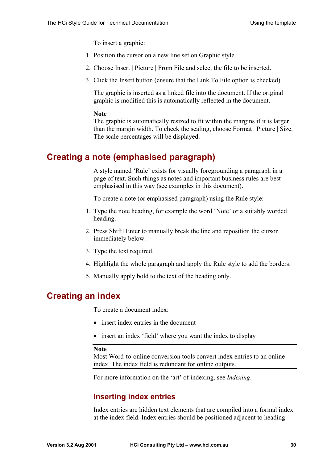To insert a graphic:

- <span id="page-29-0"></span>1. Position the cursor on a new line set on Graphic style.
- 2. Choose Insert | Picture | From File and select the file to be inserted.
- 3. Click the Insert button (ensure that the Link To File option is checked).

The graphic is inserted as a linked file into the document. If the original graphic is modified this is automatically reflected in the document.

#### **Note**

The graphic is automatically resized to fit within the margins if it is larger than the margin width. To check the scaling, choose Format | Picture | Size. The scale percentages will be displayed.

## **Creating a note (emphasised paragraph)**

A style named 'Rule' exists for visually foregrounding a paragraph in a page of text. Such things as notes and important business rules are best emphasised in this way (see examples in this document).

To create a note (or emphasised paragraph) using the Rule style:

- 1. Type the note heading, for example the word 'Note' or a suitably worded heading.
- 2. Press Shift+Enter to manually break the line and reposition the cursor immediately below.
- 3. Type the text required.
- 4. Highlight the whole paragraph and apply the Rule style to add the borders.
- 5. Manually apply bold to the text of the heading only.

## **Creating an index**

To create a document index:

- insert index entries in the document
- insert an index 'field' where you want the index to display

#### **Note**

Most Word-to-online conversion tools convert index entries to an online index. The index field is redundant for online outputs.

For more information on the 'art' of indexing, see *[Indexing](#page-21-0)*.

## **Inserting index entries**

Index entries are hidden text elements that are compiled into a formal index at the index field. Index entries should be positioned adjacent to heading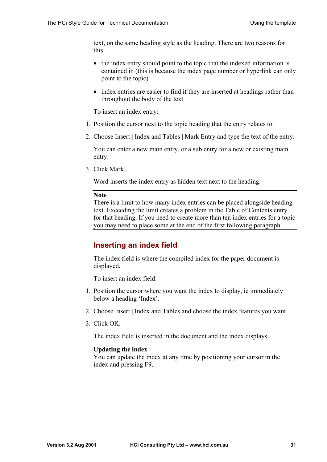text, on the same heading style as the heading. There are two reasons for this:

- the index entry should point to the topic that the indexed information is contained in (this is because the index page number or hyperlink can only point to the topic)
- index entries are easier to find if they are inserted at headings rather than throughout the body of the text

To insert an index entry:

- 1. Position the cursor next to the topic heading that the entry relates to.
- 2. Choose Insert | Index and Tables | Mark Entry and type the text of the entry.

You can enter a new main entry, or a sub entry for a new or existing main entry.

3. Click Mark.

Word inserts the index entry as hidden text next to the heading.

#### **Note**

There is a limit to how many index entries can be placed alongside heading text. Exceeding the limit creates a problem in the Table of Contents entry for that heading. If you need to create more than ten index entries for a topic you may need to place some at the end of the first following paragraph.

## **Inserting an index field**

The index field is where the compiled index for the paper document is displayed.

To insert an index field:

- 1. Position the cursor where you want the index to display, ie immediately below a heading 'Index'.
- 2. Choose Insert | Index and Tables and choose the index features you want.
- 3. Click OK.

The index field is inserted in the document and the index displays.

#### **Updating the index**

You can update the index at any time by positioning your cursor in the index and pressing F9.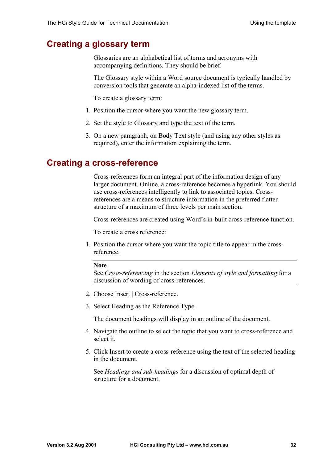# <span id="page-31-0"></span>**Creating a glossary term**

Glossaries are an alphabetical list of terms and acronyms with accompanying definitions. They should be brief.

The Glossary style within a Word source document is typically handled by conversion tools that generate an alpha-indexed list of the terms.

To create a glossary term:

- 1. Position the cursor where you want the new glossary term.
- 2. Set the style to Glossary and type the text of the term.
- 3. On a new paragraph, on Body Text style (and using any other styles as required), enter the information explaining the term.

## **Creating a cross-reference**

Cross-references form an integral part of the information design of any larger document. Online, a cross-reference becomes a hyperlink. You should use cross-references intelligently to link to associated topics. Crossreferences are a means to structure information in the preferred flatter structure of a maximum of three levels per main section.

Cross-references are created using Word's in-built cross-reference function.

To create a cross reference:

1. Position the cursor where you want the topic title to appear in the crossreference.

#### **Note**

See *[Cross-referencing](#page-21-0)* in the section *[Elements of style and formatting](#page-7-0)* for a discussion of wording of cross-references.

- 2. Choose Insert | Cross-reference.
- 3. Select Heading as the Reference Type.

The document headings will display in an outline of the document.

- 4. Navigate the outline to select the topic that you want to cross-reference and select it.
- 5. Click Insert to create a cross-reference using the text of the selected heading in the document.

See *[Headings and sub-headings](#page-9-0)* for a discussion of optimal depth of structure for a document.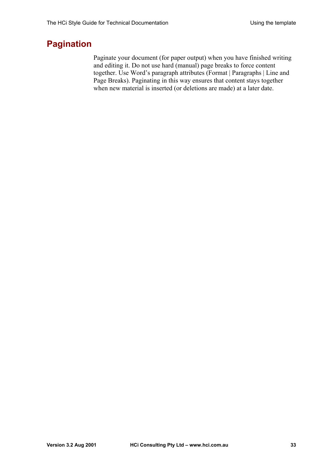# <span id="page-32-0"></span>**Pagination**

Paginate your document (for paper output) when you have finished writing and editing it. Do not use hard (manual) page breaks to force content together. Use Word's paragraph attributes (Format | Paragraphs | Line and Page Breaks). Paginating in this way ensures that content stays together when new material is inserted (or deletions are made) at a later date.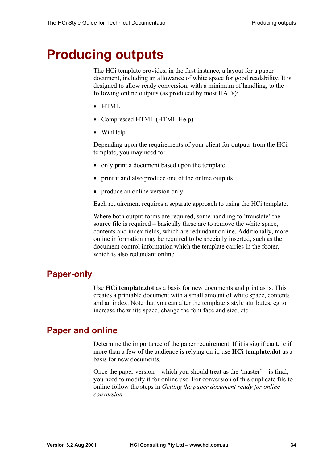# <span id="page-33-0"></span>**Producing outputs**

The HCi template provides, in the first instance, a layout for a paper document, including an allowance of white space for good readability. It is designed to allow ready conversion, with a minimum of handling, to the following online outputs (as produced by most HATs):

- HTML
- Compressed HTML (HTML Help)
- WinHelp

Depending upon the requirements of your client for outputs from the HCi template, you may need to:

- only print a document based upon the template
- print it and also produce one of the online outputs
- produce an online version only

Each requirement requires a separate approach to using the HCi template.

Where both output forms are required, some handling to 'translate' the source file is required – basically these are to remove the white space, contents and index fields, which are redundant online. Additionally, more online information may be required to be specially inserted, such as the document control information which the template carries in the footer, which is also redundant online.

## **Paper-only**

Use **HCi template.dot** as a basis for new documents and print as is. This creates a printable document with a small amount of white space, contents and an index. Note that you can alter the template's style attributes, eg to increase the white space, change the font face and size, etc.

## **Paper and online**

Determine the importance of the paper requirement. If it is significant, ie if more than a few of the audience is relying on it, use **HCi template.dot** as a basis for new documents.

Once the paper version – which you should treat as the 'master' – is final, you need to modify it for online use. For conversion of this duplicate file to online follow the steps in *[Getting the paper document ready for online](#page-34-0)  [conversion](#page-34-0)*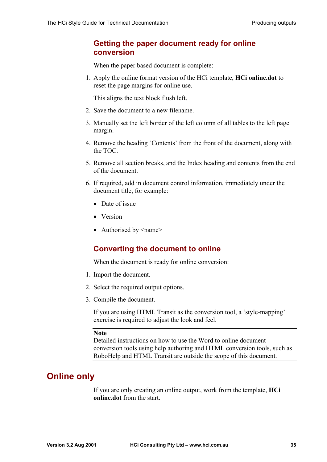## <span id="page-34-0"></span>**Getting the paper document ready for online conversion**

When the paper based document is complete:

1. Apply the online format version of the HCi template, **HCi online.dot** to reset the page margins for online use.

This aligns the text block flush left.

- 2. Save the document to a new filename.
- 3. Manually set the left border of the left column of all tables to the left page margin.
- 4. Remove the heading 'Contents' from the front of the document, along with the TOC.
- 5. Remove all section breaks, and the Index heading and contents from the end of the document.
- 6. If required, add in document control information, immediately under the document title, for example:
	- Date of issue
	- Version
	- Authorised by  $\leq$ name $\geq$

### **Converting the document to online**

When the document is ready for online conversion:

- 1. Import the document.
- 2. Select the required output options.
- 3. Compile the document.

If you are using HTML Transit as the conversion tool, a 'style-mapping' exercise is required to adjust the look and feel.

#### **Note**

Detailed instructions on how to use the Word to online document conversion tools using help authoring and HTML conversion tools, such as RoboHelp and HTML Transit are outside the scope of this document.

# **Online only**

If you are only creating an online output, work from the template, **HCi online.dot** from the start.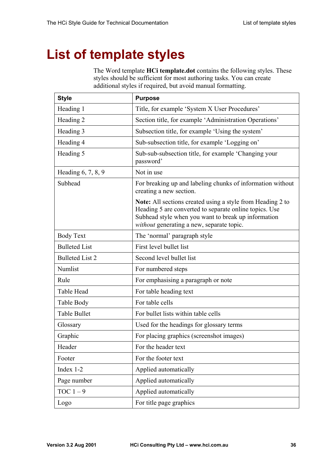# <span id="page-35-0"></span>**List of template styles**

The Word template **HCi template.dot** contains the following styles. These styles should be sufficient for most authoring tasks. You can create additional styles if required, but avoid manual formatting.

| <b>Style</b>           | <b>Purpose</b>                                                                                                                                                                                                                  |
|------------------------|---------------------------------------------------------------------------------------------------------------------------------------------------------------------------------------------------------------------------------|
| Heading 1              | Title, for example 'System X User Procedures'                                                                                                                                                                                   |
| Heading 2              | Section title, for example 'Administration Operations'                                                                                                                                                                          |
| Heading 3              | Subsection title, for example 'Using the system'                                                                                                                                                                                |
| Heading 4              | Sub-subsection title, for example 'Logging on'                                                                                                                                                                                  |
| Heading 5              | Sub-sub-subsection title, for example 'Changing your<br>password'                                                                                                                                                               |
| Heading 6, 7, 8, 9     | Not in use                                                                                                                                                                                                                      |
| Subhead                | For breaking up and labeling chunks of information without<br>creating a new section.                                                                                                                                           |
|                        | <b>Note:</b> All sections created using a style from Heading 2 to<br>Heading 5 are converted to separate online topics. Use<br>Subhead style when you want to break up information<br>without generating a new, separate topic. |
| <b>Body Text</b>       | The 'normal' paragraph style                                                                                                                                                                                                    |
| <b>Bulleted List</b>   | First level bullet list                                                                                                                                                                                                         |
| <b>Bulleted List 2</b> | Second level bullet list                                                                                                                                                                                                        |
| Numlist                | For numbered steps                                                                                                                                                                                                              |
| Rule                   | For emphasising a paragraph or note                                                                                                                                                                                             |
| Table Head             | For table heading text                                                                                                                                                                                                          |
| Table Body             | For table cells                                                                                                                                                                                                                 |
| <b>Table Bullet</b>    | For bullet lists within table cells                                                                                                                                                                                             |
| Glossary               | Used for the headings for glossary terms                                                                                                                                                                                        |
| Graphic                | For placing graphics (screenshot images)                                                                                                                                                                                        |
| Header                 | For the header text                                                                                                                                                                                                             |
| Footer                 | For the footer text                                                                                                                                                                                                             |
| Index 1-2              | Applied automatically                                                                                                                                                                                                           |
| Page number            | Applied automatically                                                                                                                                                                                                           |
| TOC $1-9$              | Applied automatically                                                                                                                                                                                                           |
| Logo                   | For title page graphics                                                                                                                                                                                                         |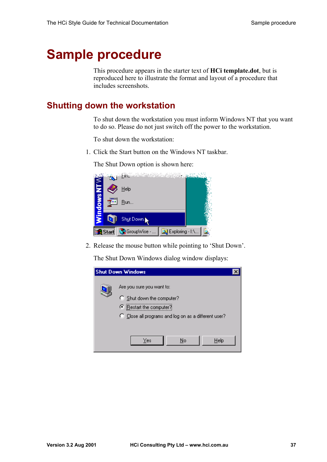# <span id="page-36-0"></span>**Sample procedure**

This procedure appears in the starter text of **HCi template.dot**, but is reproduced here to illustrate the format and layout of a procedure that includes screenshots.

# **Shutting down the workstation**

To shut down the workstation you must inform Windows NT that you want to do so. Please do not just switch off the power to the workstation.

To shut down the workstation:

1. Click the Start button on the Windows NT taskbar.

The Shut Down option is shown here:



2. Release the mouse button while pointing to 'Shut Down'.

The Shut Down Windows dialog window displays:

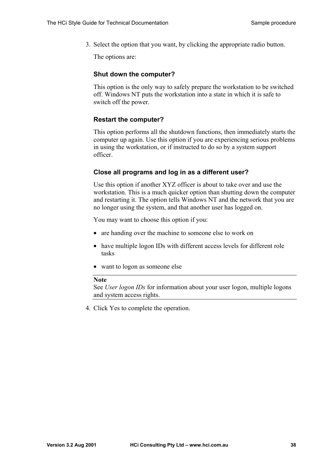3. Select the option that you want, by clicking the appropriate radio button.

The options are:

#### **Shut down the computer?**

This option is the only way to safely prepare the workstation to be switched off. Windows NT puts the workstation into a state in which it is safe to switch off the power.

#### **Restart the computer?**

This option performs all the shutdown functions, then immediately starts the computer up again. Use this option if you are experiencing serious problems in using the workstation, or if instructed to do so by a system support officer.

#### **Close all programs and log in as a different user?**

Use this option if another XYZ officer is about to take over and use the workstation. This is a much quicker option than shutting down the computer and restarting it. The option tells Windows NT and the network that you are no longer using the system, and that another user has logged on.

You may want to choose this option if you:

- are handing over the machine to someone else to work on
- have multiple logon IDs with different access levels for different role tasks
- want to logon as someone else

#### **Note**

See *User logon IDs* for information about your user logon, multiple logons and system access rights.

4. Click Yes to complete the operation.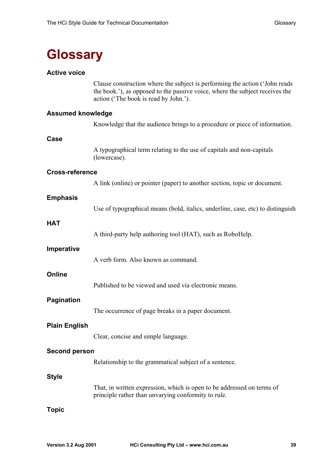# <span id="page-38-0"></span>**Glossary**

#### **Active voice**

Clause construction where the subject is performing the action ('John reads the book.'), as opposed to the passive voice, where the subject receives the action ('The book is read by John.').

#### **Assumed knowledge**

Knowledge that the audience brings to a procedure or piece of information.

#### **Case**

A typographical term relating to the use of capitals and non-capitals (lowercase).

#### **Cross-reference**

A link (online) or pointer (paper) to another section, topic or document.

#### **Emphasis**

Use of typographical means (bold, italics, underline, case, etc) to distinguish

#### **HAT**

A third-party help authoring tool (HAT), such as RoboHelp.

#### **Imperative**

A verb form. Also known as command.

#### **Online**

Published to be viewed and used via electronic means.

#### **Pagination**

The occurrence of page breaks in a paper document.

#### **Plain English**

Clear, concise and simple language.

#### **Second person**

Relationship to the grammatical subject of a sentence.

#### **Style**

That, in written expression, which is open to be addressed on terms of principle rather than unvarying conformity to rule.

#### **Topic**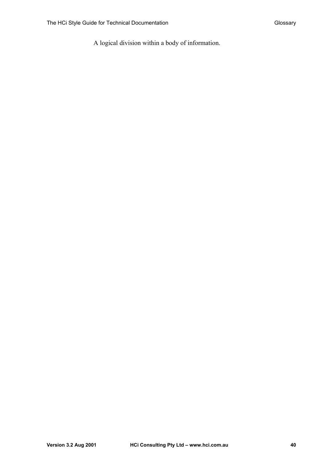A logical division within a body of information.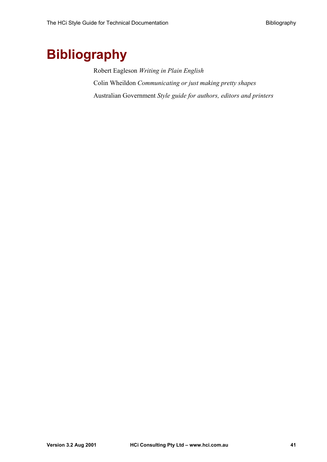# <span id="page-40-0"></span>**Bibliography**

Robert Eagleson *Writing in Plain English*  Colin Wheildon *Communicating or just making pretty shapes*  Australian Government *Style guide for authors, editors and printers*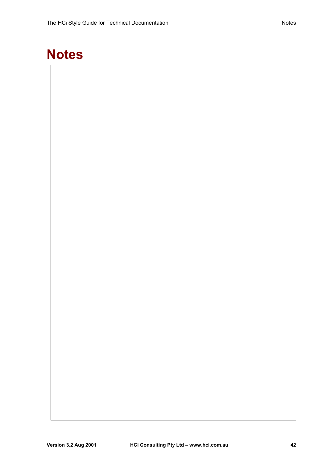# <span id="page-41-0"></span>**Notes**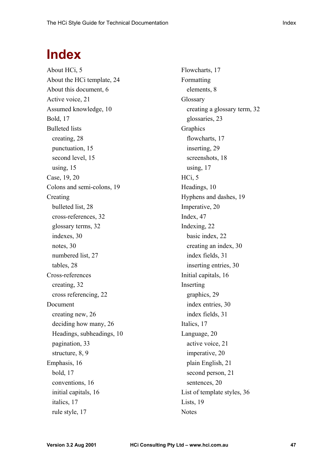# <span id="page-46-0"></span>**Index**

About HCi, 5 About the HCi template, 24 About this document, 6 Active voice, 21 Assumed knowledge, 10 Bold, 17 Bulleted lists creating, 28 punctuation, 15 second level, 15 using, 15 Case, 19, 20 Colons and semi-colons, 19 Creating bulleted list, 28 cross-references, 32 glossary terms, 32 indexes, 30 notes, 30 numbered list, 27 tables, 28 Cross-references creating, 32 cross referencing, 22 Document creating new, 26 deciding how many, 26 Headings, subheadings, 10 pagination, 33 structure, 8, 9 Emphasis, 16 bold, 17 conventions, 16 initial capitals, 16 italics, 17 rule style, 17

Flowcharts, 17 Formatting elements, 8 Glossary creating a glossary term, 32 glossaries, 23 Graphics flowcharts, 17 inserting, 29 screenshots, 18 using, 17 HCi, 5 Headings, 10 Hyphens and dashes, 19 Imperative, 20 Index, 47 Indexing, 22 basic index, 22 creating an index, 30 index fields, 31 inserting entries, 30 Initial capitals, 16 Inserting graphics, 29 index entries, 30 index fields, 31 Italics, 17 Language, 20 active voice, 21 imperative, 20 plain English, 21 second person, 21 sentences, 20 List of template styles, 36 Lists, 19 **Notes**